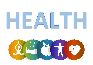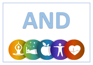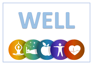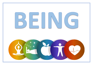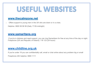# USEFUL WEBSITES

### **[www.thecalmzone.net](http://www.thecalmzone.net/)**

• Offers support to young men in the UK who are down or in a crisis.

Helpline: 0800 58 58 58 (Daily 17:00-midnight)

#### **[www.samaritans.org](http://www.samaritans.org/)**

If you're in distress and need support, you can ring Samaritans for free at any time of the day or night. Freephone (UK and Republic of Ireland): 116 123 (24 hours)

### **[www.childline.org.uk](http://www.childline.org.uk/)**

If you're under 19 you can confidentially call, email or chat online about any problem big or small

Freephone 24h helpline: 0800 1111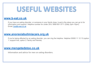# USEFUL WEBSITES

### **[www.b-eat.co.uk](http://www.b-eat.co.uk/)**

If you have an eating disorder, or someone in your family does, b-eat is the place you can go to for information and support. Helpline number for under 25's: 0808 801 0711 (Daily 3pm-10pm). Email: [fyp@b-eat.co.uk](mailto:%20fyp@b-eat.co.uk)

### **[www.anorexiabulimiacare.org.uk](http://www.anorexiabulimiacare.org.uk/)**

If you're being affected by an eating disorder, you can ring the helpline. Helpline 03000 11 12 13 (option 1: support line, option 2: family and friends)

#### **[www.mengetedstoo.co.uk](http://www.mengetedstoo.co.uk/)**

Information and advice for men on eating disorders.